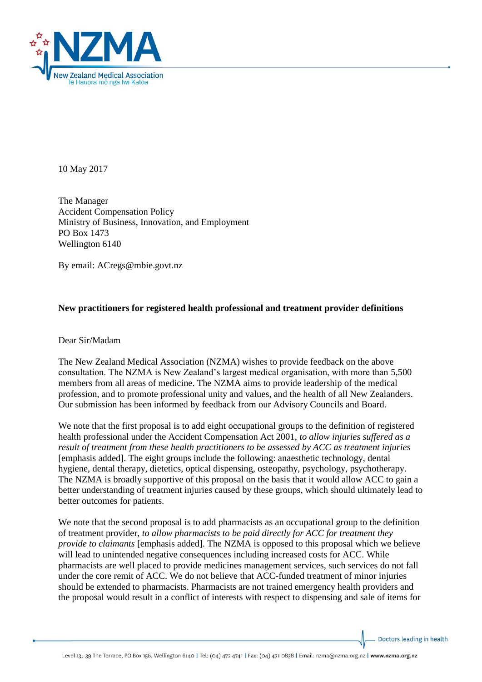

10 May 2017

The Manager Accident Compensation Policy Ministry of Business, Innovation, and Employment PO Box 1473 Wellington 6140

By email: ACregs@mbie.govt.nz

## **New practitioners for registered health professional and treatment provider definitions**

Dear Sir/Madam

The New Zealand Medical Association (NZMA) wishes to provide feedback on the above consultation. The NZMA is New Zealand's largest medical organisation, with more than 5,500 members from all areas of medicine. The NZMA aims to provide leadership of the medical profession, and to promote professional unity and values, and the health of all New Zealanders. Our submission has been informed by feedback from our Advisory Councils and Board.

We note that the first proposal is to add eight occupational groups to the definition of registered health professional under the Accident Compensation Act 2001, *to allow injuries suffered as a result of treatment from these health practitioners to be assessed by ACC as treatment injuries*  [emphasis added]. The eight groups include the following: anaesthetic technology, dental hygiene, dental therapy, dietetics, optical dispensing, osteopathy, psychology, psychotherapy. The NZMA is broadly supportive of this proposal on the basis that it would allow ACC to gain a better understanding of treatment injuries caused by these groups, which should ultimately lead to better outcomes for patients.

We note that the second proposal is to add pharmacists as an occupational group to the definition of treatment provider, *to allow pharmacists to be paid directly for ACC for treatment they provide to claimants* [emphasis added]. The NZMA is opposed to this proposal which we believe will lead to unintended negative consequences including increased costs for ACC. While pharmacists are well placed to provide medicines management services, such services do not fall under the core remit of ACC. We do not believe that ACC-funded treatment of minor injuries should be extended to pharmacists. Pharmacists are not trained emergency health providers and the proposal would result in a conflict of interests with respect to dispensing and sale of items for

Doctors leading in health